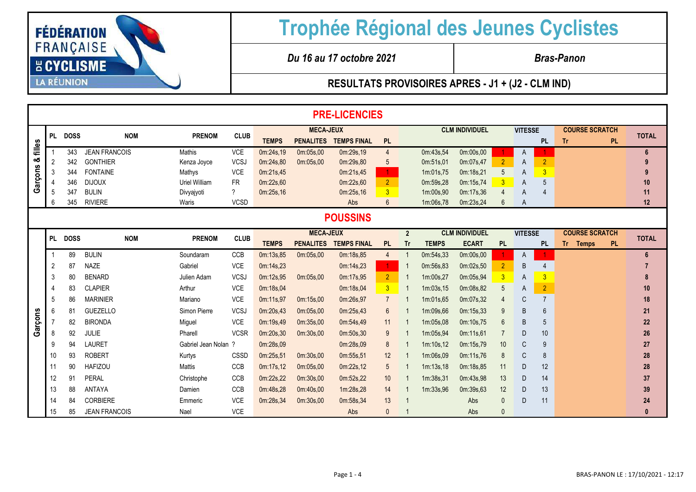

*Du 16 au 17 octobre 2021 Bras-Panon*

|            | <b>PRE-LICENCIES</b> |             |                      |                      |                |                  |                  |                    |                 |                |              |                       |                 |                |                |                       |           |              |
|------------|----------------------|-------------|----------------------|----------------------|----------------|------------------|------------------|--------------------|-----------------|----------------|--------------|-----------------------|-----------------|----------------|----------------|-----------------------|-----------|--------------|
|            | PL.                  | <b>DOSS</b> | <b>NOM</b>           | <b>PRENOM</b>        | <b>CLUB</b>    | <b>MECA-JEUX</b> |                  |                    |                 |                |              | <b>CLM INDIVIDUEL</b> |                 | <b>VITESSE</b> |                | <b>COURSE SCRATCH</b> |           | <b>TOTAL</b> |
| filles     |                      |             |                      |                      |                | <b>TEMPS</b>     | <b>PENALITES</b> | <b>TEMPS FINAL</b> | <b>PL</b>       |                |              |                       |                 |                | <b>PL</b>      | Tr.                   | <b>PL</b> |              |
|            |                      | 343         | <b>JEAN FRANCOIS</b> | Mathis               | <b>VCE</b>     | 0m:24s,19        | 0m:05s,00        | 0m:29s,19          | $\overline{4}$  |                | 0m:43s,54    | 0m:00s,00             |                 | A              |                |                       |           | 6            |
| ఱ          | $\overline{2}$       | 342         | <b>GONTHIER</b>      | Kenza Joyce          | <b>VCSJ</b>    | 0m:24s,80        | 0m:05s.00        | 0m:29s,80          | 5               |                | 0m:51s,01    | 0m:07s,47             | $\overline{2}$  | A              | $\overline{2}$ |                       |           |              |
| <b>ons</b> | 3                    | 344         | <b>FONTAINE</b>      | Mathys               | <b>VCE</b>     | 0m:21s,45        |                  | 0m:21s,45          | $\mathbf{1}$    |                | 1m:01s,75    | 0m:18s,21             | 5               | A              | $\overline{3}$ |                       |           | 9            |
| Garç       |                      | 346         | <b>DIJOUX</b>        | Uriel William        | <b>FR</b>      | 0m:22s,60        |                  | 0m:22s,60          | 2 <sup>2</sup>  |                | 0m:59s,28    | 0m:15s,74             | $\overline{3}$  | A              | 5              |                       |           | 10           |
|            | 5                    | 347         | <b>BULIN</b>         | Divyajyoti           | $\overline{?}$ | 0m:25s,16        |                  | 0m:25s,16          | 3 <sup>1</sup>  |                | 1m:00s,90    | 0m:17s,36             | $\overline{4}$  | A              |                |                       |           | 11           |
|            | 6                    | 345         | <b>RIVIERE</b>       | Waris                | <b>VCSD</b>    |                  |                  | Abs                | $6^{\circ}$     |                | 1m:06s,78    | 0m:23s,24             | 6               | A              |                |                       |           | 12           |
|            | <b>POUSSINS</b>      |             |                      |                      |                |                  |                  |                    |                 |                |              |                       |                 |                |                |                       |           |              |
|            | <b>PL</b>            | <b>DOSS</b> | <b>NOM</b>           | <b>PRENOM</b>        | <b>CLUB</b>    |                  | <b>MECA-JEUX</b> |                    |                 | $\overline{2}$ |              | <b>CLM INDIVIDUEL</b> |                 | <b>VITESSE</b> |                | <b>COURSE SCRATCH</b> |           | <b>TOTAL</b> |
|            |                      |             |                      |                      |                | <b>TEMPS</b>     | <b>PENALITES</b> | <b>TEMPS FINAL</b> | <b>PL</b>       | <b>Tr</b>      | <b>TEMPS</b> | <b>ECART</b>          | <b>PL</b>       |                | <b>PL</b>      | Tr Temps              | <b>PL</b> |              |
|            |                      | 89          | <b>BULIN</b>         | Soundaram            | CCB            | 0m:13s,85        | 0m:05s,00        | 0m:18s,85          | $\overline{4}$  | -1             | 0m:54s,33    | 0m:00s,00             |                 | A              |                |                       |           | 6            |
|            | 2                    | 87          | <b>NAZE</b>          | Gabriel              | <b>VCE</b>     | 0m:14s,23        |                  | 0m:14s,23          | $\mathbf{1}$    |                | 0m:56s,83    | 0m:02s,50             | $\overline{2}$  | B              | $\overline{4}$ |                       |           |              |
|            | 3                    | 80          | <b>BENARD</b>        | Julien Adam          | <b>VCSJ</b>    | 0m:12s,95        | 0m:05s.00        | 0m:17s,95          | $\overline{2}$  | -1             | 1m:00s.27    | 0m:05s,94             | 3               | A              | $\overline{3}$ |                       |           | 8            |
|            |                      | 83          | <b>CLAPIER</b>       | Arthur               | <b>VCE</b>     | 0m:18s,04        |                  | 0m:18s,04          | $\overline{3}$  | -1             | 1m:03s,15    | 0m:08s,82             | 5               | A              | $\overline{2}$ |                       |           | 10           |
|            | 5                    | 86          | <b>MARINIER</b>      | Mariano              | <b>VCE</b>     | 0m:11s,97        | 0m:15s,00        | 0m:26s,97          | $\overline{7}$  |                | 1m:01s.65    | 0m:07s,32             |                 | С              | $\overline{7}$ |                       |           | 18           |
|            | 6                    | 81          | <b>GUEZELLO</b>      | Simon Pierre         | <b>VCSJ</b>    | 0m:20s,43        | 0m:05s,00        | 0m:25s,43          | 6               |                | 1m:09s,66    | 0m:15s,33             | 9               | B              | 6              |                       |           | 21           |
| Garçons    |                      | 82          | <b>BIRONDA</b>       | Miguel               | VCE            | 0m:19s,49        | 0m:35s,00        | 0m:54s,49          | 11              | -1             | 1m:05s,08    | 0m:10s,75             | $6\overline{6}$ | B              | 5              |                       |           | 22           |
|            | 8                    | 92          | <b>JULIE</b>         | Pharell              | <b>VCSR</b>    | 0m:20s,30        | 0m:30s,00        | 0m:50s,30          | 9               |                | 1m:05s,94    | 0m:11s,61             | 7               | D              | 10             |                       |           | 26           |
|            | 9                    | 94          | <b>LAURET</b>        | Gabriel Jean Nolan ? |                | 0m:28s,09        |                  | 0m:28s,09          | 8               | -1             | 1m:10s,12    | 0m:15s,79             | 10              | C              | 9              |                       |           | 27           |
|            | 10                   | 93          | <b>ROBERT</b>        | Kurtys               | CSSD           | 0m:25s,51        | 0m:30s,00        | 0m:55s,51          | 12              | -1             | 1m:06s,09    | 0m:11s,76             | 8               | C              | 8              |                       |           | 28           |
|            | 11                   | 90          | <b>HAFIZOU</b>       | Mattis               | CCB            | 0m:17s,12        | 0m:05s,00        | 0m:22s,12          | $5\overline{)}$ |                | 1m:13s.18    | 0m:18s,85             | 11              | D              | 12             |                       |           | 28           |
|            | 12                   | 91          | <b>PERAL</b>         | Christophe           | <b>CCB</b>     | 0m:22s,22        | 0m:30s,00        | 0m:52s,22          | 10              | -1             | 1m:38s,31    | 0m:43s,98             | 13              | D              | 14             |                       |           | 37           |
|            | 13                   | 88          | <b>ANTAYA</b>        | Damien               | CCB            | 0m:48s,28        | 0m:40s,00        | 1m:28s,28          | 14              | -1             | 1m:33s,96    | 0m:39s,63             | 12              | D              | 13             |                       |           | 39           |
|            | 14                   | 84          | <b>CORBIERE</b>      | Emmeric              | <b>VCE</b>     | 0m:28s,34        | 0m:30s,00        | 0m:58s,34          | 13              | $\mathbf 1$    |              | Abs                   | $\Omega$        | D              | 11             |                       |           | 24           |
|            | 15                   | 85          | <b>JEAN FRANCOIS</b> | Nael                 | <b>VCE</b>     |                  |                  | Abs                | $\mathbf{0}$    |                |              | Abs                   | $\mathbf{0}$    |                |                |                       |           | $\bf{0}$     |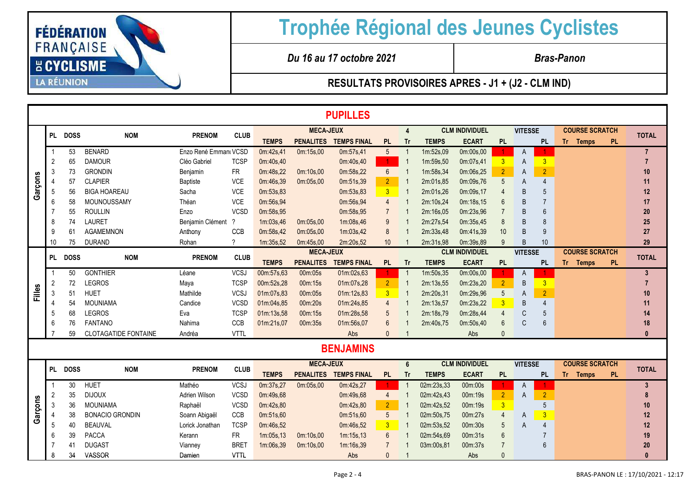

*Du 16 au 17 octobre 2021 Bras-Panon*

|         |                |             |                             |                       |             |              |                  | <b>PUPILLES</b>    |                      |                |              |                       |                 |                |                 |                       |                |
|---------|----------------|-------------|-----------------------------|-----------------------|-------------|--------------|------------------|--------------------|----------------------|----------------|--------------|-----------------------|-----------------|----------------|-----------------|-----------------------|----------------|
|         |                |             |                             |                       |             |              | <b>MECA-JEUX</b> |                    |                      | $\overline{4}$ |              | <b>CLM INDIVIDUEL</b> |                 | <b>VITESSE</b> |                 | <b>COURSE SCRATCH</b> |                |
|         |                | PL DOSS     | <b>NOM</b>                  | <b>PRENOM</b>         | <b>CLUB</b> | <b>TEMPS</b> | <b>PENALITES</b> | <b>TEMPS FINAL</b> | <b>PL</b>            | Tr             | <b>TEMPS</b> | <b>ECART</b>          | <b>PL</b>       |                | <b>PL</b>       | <b>PL</b><br>Tr Temps | <b>TOTAL</b>   |
|         |                | 53          | <b>BENARD</b>               | Enzo René Emmanı VCSD |             | 0m:42s,41    | 0m:15s,00        | 0m:57s,41          | $5\overline{)}$      | -1             | 1m:52s,09    | 0m:00s,00             |                 | A              |                 |                       | $\overline{7}$ |
|         | 2              | 65          | <b>DAMOUR</b>               | Cléo Gabriel          | <b>TCSP</b> | 0m:40s,40    |                  | 0m:40s,40          | $\blacktriangleleft$ | $\overline{1}$ | 1m:59s,50    | 0m:07s,41             | 3 <sup>1</sup>  | A              | $\overline{3}$  |                       | $\overline{7}$ |
|         | 3              | 73          | <b>GRONDIN</b>              | Benjamin              | <b>FR</b>   | 0m:48s,22    | 0m:10s,00        | 0m:58s,22          | $6\overline{6}$      |                | 1m:58s,34    | 0m:06s,25             | $\overline{2}$  | A              | $\overline{2}$  |                       | 10             |
|         |                | 57          | <b>CLAPIER</b>              | <b>Baptiste</b>       | VCE         | 0m:46s,39    | 0m:05s,00        | 0m:51s,39          | $\overline{2}$       |                | 2m:01s,85    | 0m:09s,76             | 5               | A              | 4               |                       | 11             |
| Garçons | 5              | 56          | <b>BIGA HOAREAU</b>         | Sacha                 | VCE         | 0m:53s,83    |                  | 0m:53s,83          | 3 <sup>2</sup>       |                | 2m:01s,26    | 0m:09s,17             |                 | B              | 5               |                       | 12             |
|         | 6              | 58          | MOUNOUSSAMY                 | Théan                 | <b>VCE</b>  | 0m:56s.94    |                  | 0m:56s,94          | $\overline{4}$       |                | 2m:10s.24    | 0m:18s.15             | 6               | B              | $\overline{7}$  |                       | 17             |
|         |                | 55          | <b>ROULLIN</b>              | Enzo                  | <b>VCSD</b> | 0m:58s,95    |                  | 0m:58s,95          | $\overline{7}$       |                | 2m:16s,05    | 0m:23s.96             |                 | <sub>B</sub>   | $6\overline{6}$ |                       | 20             |
|         | 8              | 74          | <b>LAURET</b>               | Benjamin Clément ?    |             | 1m:03s,46    | 0m:05s.00        | 1m:08s.46          | 9                    |                | 2m:27s,54    | 0m:35s.45             | 8               | B              | 8               |                       | 25             |
|         | 9              | 61          | <b>AGAMEMNON</b>            | Anthony               | CCB         | 0m:58s,42    | 0m:05s,00        | 1m:03s.42          | 8                    |                | 2m:33s,48    | 0m:41s.39             | 10              | <sub>B</sub>   | 9               |                       | 27             |
|         | 10             | 75          | <b>DURAND</b>               | Rohan                 | $\gamma$    | 1m:35s,52    | 0m:45s,00        | 2m:20s,52          | 10                   |                | 2m:31s,98    | 0m:39s,89             | 9               | B              | 10              |                       | 29             |
|         | PL             | <b>DOSS</b> | <b>NOM</b>                  | <b>PRENOM</b>         | <b>CLUB</b> |              | <b>MECA-JEUX</b> |                    |                      |                |              | <b>CLM INDIVIDUEL</b> |                 | <b>VITESSE</b> |                 | <b>COURSE SCRATCH</b> | <b>TOTAL</b>   |
|         |                |             |                             |                       |             | <b>TEMPS</b> | <b>PENALITES</b> | <b>TEMPS FINAL</b> | <b>PL</b>            | <b>Tr</b>      | <b>TEMPS</b> | <b>ECART</b>          | <b>PL</b>       |                | <b>PL</b>       | Tr Temps<br><b>PL</b> |                |
|         |                | 50          | <b>GONTHIER</b>             | Léane                 | <b>VCSJ</b> | 00m:57s,63   | 00m:05s          | 01m:02s,63         | 1.                   |                | 1m:50s,35    | 0m:00s,00             |                 | A              |                 |                       | 3 <sup>1</sup> |
|         | $\overline{2}$ | 72          | <b>LEGROS</b>               | Maya                  | <b>TCSP</b> | 00m:52s,28   | 00m:15s          | 01m:07s,28         | 2 <sup>1</sup>       |                | 2m:13s,55    | 0m:23s,20             | 2 <sup>1</sup>  | B              | 3 <sup>1</sup>  |                       | $\overline{7}$ |
| Filles  | 3              | 51          | <b>HUET</b>                 | Mathilde              | <b>VCSJ</b> | 01m:07s,83   | 00m:05s          | 01m:12s,83         | $\overline{3}$       |                | 2m:20s,31    | 0m:29s,96             | 5               | A              | $\overline{2}$  |                       | 10             |
|         |                | 54          | <b>MOUNIAMA</b>             | Candice               | <b>VCSD</b> | 01m:04s,85   | 00m:20s          | 01m:24s.85         | 4                    |                | 2m:13s.57    | 0m:23s.22             | 3 <sup>1</sup>  | B              | $\overline{4}$  |                       | 11             |
|         | 5              | 68          | <b>LEGROS</b>               | Eva                   | <b>TCSP</b> | 01m:13s,58   | 00m:15s          | 01m:28s.58         | 5                    |                | 2m:18s,79    | 0m:28s,44             | 4               | C              | 5               |                       | 14             |
|         | 6              | 76          | <b>FANTANO</b>              | Nahima                | CCB         | 01m:21s,07   | 00m:35s          | 01m:56s,07         | 6                    |                | 2m:40s,75    | 0m:50s,40             | $6\overline{6}$ | C              | 6               |                       | 18             |
|         |                | 59          | <b>CLOTAGATIDE FONTAINE</b> | Andréa                | <b>VTTL</b> |              |                  | Abs                | $\mathbf{0}$         |                |              | Abs                   | $\Omega$        |                |                 |                       | $\mathbf{0}$   |
|         |                |             |                             |                       |             |              |                  | <b>BENJAMINS</b>   |                      |                |              |                       |                 |                |                 |                       |                |
|         |                |             |                             |                       |             |              | <b>MECA-JEUX</b> |                    |                      | $6\phantom{1}$ |              | <b>CLM INDIVIDUEL</b> |                 | <b>VITESSE</b> |                 | <b>COURSE SCRATCH</b> |                |
|         |                | PL DOSS     | <b>NOM</b>                  | <b>PRENOM</b>         | <b>CLUB</b> | <b>TEMPS</b> | <b>PENALITES</b> | <b>TEMPS FINAL</b> | <b>PL</b>            | Tr             | <b>TEMPS</b> | <b>ECART</b>          | PL.             |                | <b>PL</b>       | <b>PL</b><br>Tr Temps | <b>TOTAL</b>   |
|         |                | 30          | <b>HUET</b>                 | Mathéo                | <b>VCSJ</b> | 0m:37s,27    | 0m:05s,00        | 0m:42s,27          | 1.                   |                | 02m:23s,33   | 00m:00s               |                 | A              |                 |                       | $\mathbf{3}$   |
|         | 2              | 35          | <b>DIJOUX</b>               | Adrien Wilson         | <b>VCSD</b> | 0m:49s,68    |                  | 0m:49s,68          | $\overline{4}$       | -1             | 02m:42s,43   | 00m:19s               | 2 <sup>1</sup>  | A              | $\overline{2}$  |                       | 8              |
|         | 3              | 36          | <b>MOUNIAMA</b>             | Raphaël               | <b>VCSD</b> | 0m:42s,80    |                  | 0m:42s,80          | 2 <sup>1</sup>       |                | 02m:42s.52   | 00m:19s               | 3 <sup>1</sup>  |                | 5               |                       | 10             |
| Garçons |                | 38          | <b>BONACIO GRONDIN</b>      | Soann Abigaël         | CCB         | 0m:51s,60    |                  | 0m:51s,60          | $5\overline{)}$      |                | 02m:50s.75   | 00m:27s               | $\overline{4}$  | A              | $\overline{3}$  |                       | 12             |
|         | 5              | 40          | <b>BEAUVAL</b>              | Lorick Jonathan       | <b>TCSP</b> | 0m:46s,52    |                  | 0m:46s,52          | 3 <sup>1</sup>       |                | 02m:53s,52   | 00m:30s               | 5               | A              | $\overline{4}$  |                       | 12             |
|         | 6              | 39          | <b>PACCA</b>                | Kerann                | <b>FR</b>   | 1m:05s,13    | 0m:10s,00        | 1m:15s.13          | 6                    |                | 02m:54s,69   | 00m:31s               | 6               |                |                 |                       | 19             |
|         |                | 41          | <b>DUGAST</b>               | Vianney               | <b>BRET</b> | 1m:06s,39    | 0m:10s,00        | 1m:16s,39          | $\overline{7}$       |                | 03m:00s,81   | 00m:37s               | $\overline{7}$  |                | 6               |                       | 20             |
|         | 8              | 34          | VASSOR                      | Damien                | <b>VTTL</b> |              |                  | Abs                | $\mathbf{0}$         |                |              | Abs                   | $\Omega$        |                |                 |                       | $\Omega$       |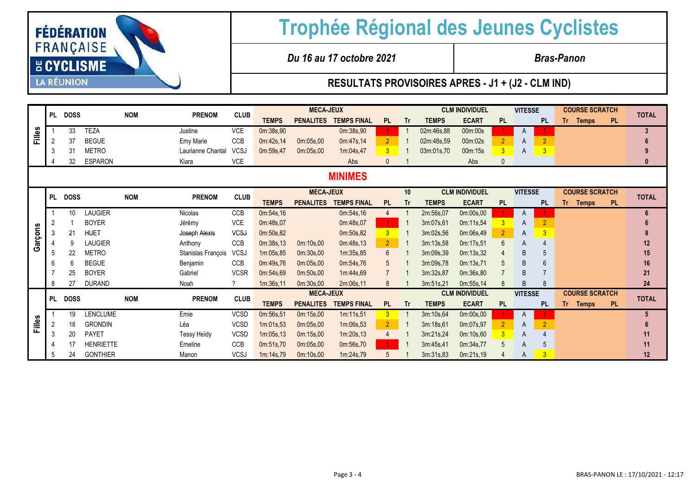| <b>FÉDÉRATION</b><br><b>FRANÇAISE</b> |  |
|---------------------------------------|--|
| <b>E CYCLISME</b>                     |  |
| <b>LA RÉUNION</b>                     |  |

*Du 16 au 17 octobre 2021 Bras-Panon*

|                |           | PL DOSS     |                  | <b>NOM</b> | <b>PRENOM</b>      | <b>CLUB</b> | <b>MECA-JEUX</b> |                  |                    |                |           | <b>CLM INDIVIDUEL</b> |                       |                | <b>VITESSE</b> |                | <b>COURSE SCRATCH</b> |           | <b>TOTAL</b> |
|----------------|-----------|-------------|------------------|------------|--------------------|-------------|------------------|------------------|--------------------|----------------|-----------|-----------------------|-----------------------|----------------|----------------|----------------|-----------------------|-----------|--------------|
|                |           |             |                  |            |                    |             | <b>TEMPS</b>     | <b>PENALITES</b> | <b>TEMPS FINAL</b> | <b>PL</b>      | <b>Tr</b> | <b>TEMPS</b>          | <b>ECART</b>          | <b>PL</b>      |                | <b>PL</b>      | Tr Temps              | PL.       |              |
| Filles         |           | 33          | <b>TEZA</b>      |            | Justine            | <b>VCE</b>  | 0m:38s,90        |                  | 0m:38s,90          |                | -1        | 02m:46s,88            | 00m:00s               |                | A              |                |                       |           | 3            |
|                |           | 37          | <b>BEGUE</b>     |            | Emy Marie          | CCB         | 0m:42s,14        | 0m:05s,00        | 0m:47s,14          | 2 <sup>1</sup> |           | 02m:48s,59            | 00m:02s               | $\overline{2}$ | A              | $\overline{2}$ |                       |           |              |
|                |           | 31          | <b>METRO</b>     |            | Laurianne Chantal  | <b>VCSJ</b> | 0m:59s,47        | 0m:05s,00        | 1m:04s,47          | 3 <sup>5</sup> |           | 03m:01s,70            | 00m:15s               | 3              | A              | $\overline{3}$ |                       |           |              |
|                |           | 32          | <b>ESPARON</b>   |            | Kiara              | <b>VCE</b>  |                  |                  | Abs                | $\mathbf{0}$   |           |                       | Abs                   |                |                |                |                       |           |              |
| <b>MINIMES</b> |           |             |                  |            |                    |             |                  |                  |                    |                |           |                       |                       |                |                |                |                       |           |              |
|                | <b>PL</b> | <b>DOSS</b> |                  | <b>NOM</b> | <b>PRENOM</b>      | <b>CLUB</b> |                  | <b>MECA-JEUX</b> |                    |                | 10        |                       | <b>CLM INDIVIDUEL</b> |                | <b>VITESSE</b> |                | <b>COURSE SCRATCH</b> |           | <b>TOTAL</b> |
| Garçons        |           |             |                  |            |                    |             | <b>TEMPS</b>     | <b>PENALITES</b> | <b>TEMPS FINAL</b> | PL.            | <b>Tr</b> | <b>TEMPS</b>          | <b>ECART</b>          | <b>PL</b>      |                | <b>PL</b>      | Tr<br><b>Temps</b>    | <b>PL</b> |              |
|                |           | 10          | <b>LAUGIER</b>   |            | Nicolas            | CCB         | 0m:54s,16        |                  | 0m:54s,16          | 4              |           | 2m:56s,07             | 0m:00s,00             |                | A              |                |                       |           | 6            |
|                | 2         |             | <b>BOYER</b>     |            | Jérémy             | VCE         | 0m:48s,07        |                  | 0m:48s,07          |                |           | 3m:07s,61             | 0m:11s,54             |                | A              | $\overline{2}$ |                       |           |              |
|                |           | 21          | <b>HUET</b>      |            | Joseph Alexis      | <b>VCSJ</b> | 0m:50s,82        |                  | 0m:50s,82          | 3 <sup>1</sup> |           | 3m:02s,56             | 0m:06s,49             |                | A              | 3              |                       |           |              |
|                |           |             | <b>LAUGIER</b>   |            | Anthony            | <b>CCB</b>  | 0m:38s,13        | 0m:10s,00        | 0m:48s,13          | 2 <sup>1</sup> |           | 3m:13s,58             | 0m:17s,51             | 6              | A              | 4              |                       |           | 12           |
|                |           | 22          | <b>METRO</b>     |            | Stanislas François | <b>VCSJ</b> | 1m:05s,85        | 0m:30s,00        | 1m:35s,85          | $6^{\circ}$    |           | 3m:09s,39             | 0m:13s,32             |                | B              | 5              |                       |           | 15           |
|                |           | 6           | <b>BEGUE</b>     |            | Benjamin           | <b>CCB</b>  | 0m:49s,76        | 0m:05s,00        | 0m:54s,76          | 5              |           | 3m:09s,78             | 0m:13s,71             | $\overline{5}$ | B              | 6              |                       |           | 16           |
|                |           | 25          | <b>BOYER</b>     |            | Gabriel            | <b>VCSR</b> | 0m:54s,69        | 0m:50s,00        | 1m:44s,69          | $\overline{7}$ |           | 3m:32s,87             | 0m:36s,80             |                | B              |                |                       |           | 21           |
|                | 8         | 27          | <b>DURAND</b>    |            | Noah               |             | 1m:36s,11        | 0m:30s,00        | 2m:06s,11          | 8              |           | 3m:51s,21             | 0m:55s,14             |                | B              | 8              |                       |           | 24           |
|                |           | PL DOSS     |                  | <b>NOM</b> | <b>PRENOM</b>      | <b>CLUB</b> |                  | <b>MECA-JEUX</b> |                    |                |           |                       | <b>CLM INDIVIDUEL</b> | <b>VITESSE</b> |                |                | <b>COURSE SCRATCH</b> |           | <b>TOTAL</b> |
|                |           |             |                  |            |                    |             | <b>TEMPS</b>     | <b>PENALITES</b> | <b>TEMPS FINAL</b> | <b>PL</b>      | <b>Tr</b> | <b>TEMPS</b>          | <b>ECART</b>          | PL             |                | <b>PL</b>      | Tr Temps              | PL.       |              |
| ပ္စ            |           | 19          | LENCLUME         |            | Emie               | VCSD        | 0m:56s,51        | 0m:15s,00        | 1m:11s,51          | 3 <sup>1</sup> |           | 3m:10s,64             | 0m:00s,00             |                | A              |                |                       |           | 5            |
| 훈              |           | 18          | <b>GRONDIN</b>   |            | Léa                | <b>VCSD</b> | 1m:01s.53        | 0m:05s,00        | 1m:06s,53          | $\overline{2}$ |           | 3m:18s,61             | 0m:07s,97             | $\overline{2}$ | A              | $\overline{2}$ |                       |           |              |
|                |           | 20          | <b>PAYET</b>     |            | Tessy Heïdy        | <b>VCSD</b> | 1m:05s,13        | 0m:15s,00        | 1m:20s,13          | 4              |           | 3m:21s,24             | 0m:10s,60             | 3              | A              |                |                       |           | 11           |
|                |           | 17          | <b>HENRIETTE</b> |            | Emeline            | <b>CCB</b>  | 0m:51s,70        | 0m:05s,00        | 0m:56s,70          |                |           | 3m:45s,41             | 0m:34s,77             |                | A              | 5              |                       |           | 11           |
|                |           | 24          | <b>GONTHIER</b>  |            | Manon              | <b>VCSJ</b> | 1m:14s,79        | 0m:10s,00        | 1m:24s,79          | 5              |           | 3m:31s,83             | 0m:21s,19             |                | A              | 3              |                       |           | 12           |